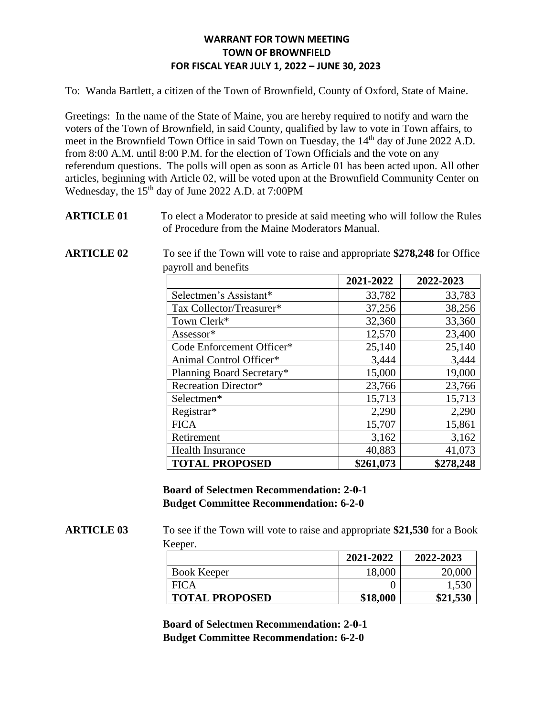To: Wanda Bartlett, a citizen of the Town of Brownfield, County of Oxford, State of Maine.

Greetings: In the name of the State of Maine, you are hereby required to notify and warn the voters of the Town of Brownfield, in said County, qualified by law to vote in Town affairs, to meet in the Brownfield Town Office in said Town on Tuesday, the 14<sup>th</sup> day of June 2022 A.D. from 8:00 A.M. until 8:00 P.M. for the election of Town Officials and the vote on any referendum questions. The polls will open as soon as Article 01 has been acted upon. All other articles, beginning with Article 02, will be voted upon at the Brownfield Community Center on Wednesday, the 15<sup>th</sup> day of June 2022 A.D. at 7:00PM

**ARTICLE 01** To elect a Moderator to preside at said meeting who will follow the Rules of Procedure from the Maine Moderators Manual.

**ARTICLE 02** To see if the Town will vote to raise and appropriate **\$278,248** for Office payroll and benefits

|                             | 2021-2022 | 2022-2023 |
|-----------------------------|-----------|-----------|
| Selectmen's Assistant*      | 33,782    | 33,783    |
| Tax Collector/Treasurer*    | 37,256    | 38,256    |
| Town Clerk*                 | 32,360    | 33,360    |
| Assessor*                   | 12,570    | 23,400    |
| Code Enforcement Officer*   | 25,140    | 25,140    |
| Animal Control Officer*     | 3,444     | 3,444     |
| Planning Board Secretary*   | 15,000    | 19,000    |
| <b>Recreation Director*</b> | 23,766    | 23,766    |
| Selectmen*                  | 15,713    | 15,713    |
| Registrar*                  | 2,290     | 2,290     |
| <b>FICA</b>                 | 15,707    | 15,861    |
| Retirement                  | 3,162     | 3,162     |
| <b>Health Insurance</b>     | 40,883    | 41,073    |
| <b>TOTAL PROPOSED</b>       | \$261,073 | \$278,248 |

**Board of Selectmen Recommendation: 2-0-1 Budget Committee Recommendation: 6-2-0**

**ARTICLE 03** To see if the Town will vote to raise and appropriate **\$21,530** for a Book Keeper.

|                       | 2021-2022 | 2022-2023 |
|-----------------------|-----------|-----------|
| <b>Book Keeper</b>    | 18,000    | 20,000    |
| <b>FICA</b>           |           | 1,530     |
| <b>TOTAL PROPOSED</b> | \$18,000  | \$21,530  |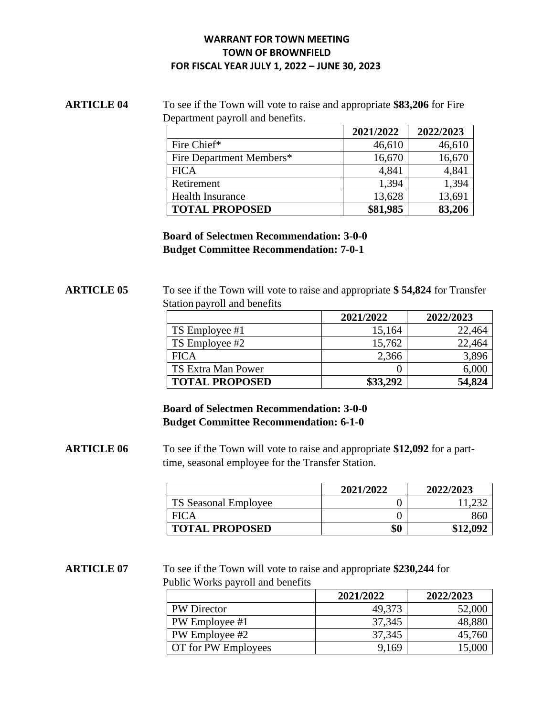# **ARTICLE 04** To see if the Town will vote to raise and appropriate **\$83,206** for Fire Department payroll and benefits.

|                          | 2021/2022 | 2022/2023 |
|--------------------------|-----------|-----------|
| Fire Chief*              | 46,610    | 46,610    |
| Fire Department Members* | 16,670    | 16,670    |
| <b>FICA</b>              | 4,841     | 4,841     |
| Retirement               | 1,394     | 1,394     |
| <b>Health Insurance</b>  | 13,628    | 13,691    |
| <b>TOTAL PROPOSED</b>    | \$81,985  | 83,206    |

**Board of Selectmen Recommendation: 3-0-0 Budget Committee Recommendation: 7-0-1**

# **ARTICLE 05** To see if the Town will vote to raise and appropriate **\$ 54,824** for Transfer Station payroll and benefits

|                       | 2021/2022 | 2022/2023 |
|-----------------------|-----------|-----------|
| TS Employee #1        | 15,164    | 22,464    |
| TS Employee #2        | 15,762    | 22,464    |
| <b>FICA</b>           | 2,366     | 3,896     |
| TS Extra Man Power    |           | 6,000     |
| <b>TOTAL PROPOSED</b> | \$33,292  | 54,824    |

# **Board of Selectmen Recommendation: 3-0-0 Budget Committee Recommendation: 6-1-0**

**ARTICLE 06** To see if the Town will vote to raise and appropriate **\$12,092** for a parttime, seasonal employee for the Transfer Station.

|                       | 2021/2022 | 2022/2023 |
|-----------------------|-----------|-----------|
| TS Seasonal Employee  |           |           |
| <b>FICA</b>           |           |           |
| <b>TOTAL PROPOSED</b> | \$0       | \$12,092  |

**ARTICLE 07** To see if the Town will vote to raise and appropriate **\$230,244** for Public Works payroll and benefits

|                     | 2021/2022 | 2022/2023 |
|---------------------|-----------|-----------|
| <b>PW Director</b>  | 49,373    | 52,000    |
| PW Employee #1      | 37,345    | 48,880    |
| PW Employee #2      | 37,345    | 45,760    |
| OT for PW Employees | 9,169     | 15,000    |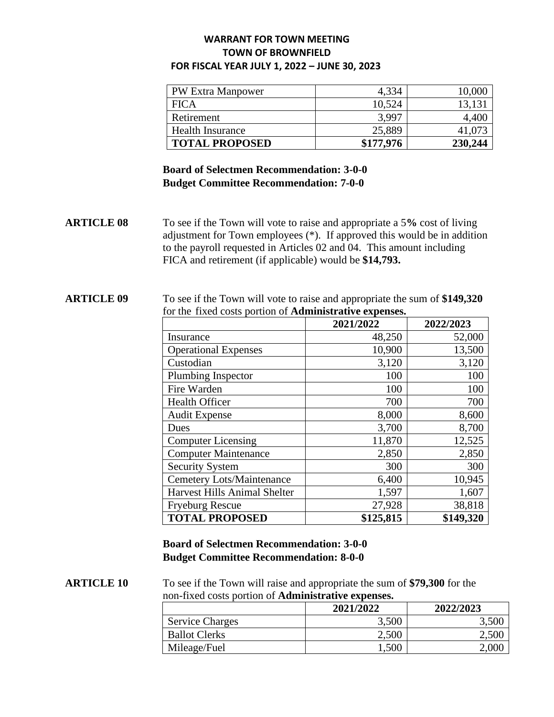| <b>PW Extra Manpower</b> | 4,334     | 10,000  |
|--------------------------|-----------|---------|
| <b>FICA</b>              | 10,524    | 13,131  |
| Retirement               | 3,997     | 4.400   |
| <b>Health Insurance</b>  | 25,889    | 41.073  |
| <b>TOTAL PROPOSED</b>    | \$177,976 | 230,244 |

# **Board of Selectmen Recommendation: 3-0-0 Budget Committee Recommendation: 7-0-0**

**ARTICLE 08** To see if the Town will vote to raise and appropriate a 5**%** cost of living adjustment for Town employees (\*). If approved this would be in addition to the payroll requested in Articles 02 and 04. This amount including FICA and retirement (if applicable) would be **\$14,793.**

#### **ARTICLE 09** To see if the Town will vote to raise and appropriate the sum of **\$149,320** for the fixed costs portion of **Administrative expenses.**

|                                     | 2021/2022 | 2022/2023 |
|-------------------------------------|-----------|-----------|
| Insurance                           | 48,250    | 52,000    |
| <b>Operational Expenses</b>         | 10,900    | 13,500    |
| Custodian                           | 3,120     | 3,120     |
| Plumbing Inspector                  | 100       | 100       |
| Fire Warden                         | 100       | 100       |
| <b>Health Officer</b>               | 700       | 700       |
| <b>Audit Expense</b>                | 8,000     | 8,600     |
| Dues                                | 3,700     | 8,700     |
| <b>Computer Licensing</b>           | 11,870    | 12,525    |
| <b>Computer Maintenance</b>         | 2,850     | 2,850     |
| <b>Security System</b>              | 300       | 300       |
| <b>Cemetery Lots/Maintenance</b>    | 6,400     | 10,945    |
| <b>Harvest Hills Animal Shelter</b> | 1,597     | 1,607     |
| <b>Fryeburg Rescue</b>              | 27,928    | 38,818    |
| <b>TOTAL PROPOSED</b>               | \$125,815 | \$149,320 |

# **Board of Selectmen Recommendation: 3-0-0 Budget Committee Recommendation: 8-0-0**

**ARTICLE 10** To see if the Town will raise and appropriate the sum of **\$79,300** for the non-fixed costs portion of **Administrative expenses.** 

|                        | 2021/2022 | 2022/2023 |
|------------------------|-----------|-----------|
| <b>Service Charges</b> | 3,500     |           |
| <b>Ballot Clerks</b>   | 2,500     | 2,500     |
| Mileage/Fuel           | 1,500     | 2.000     |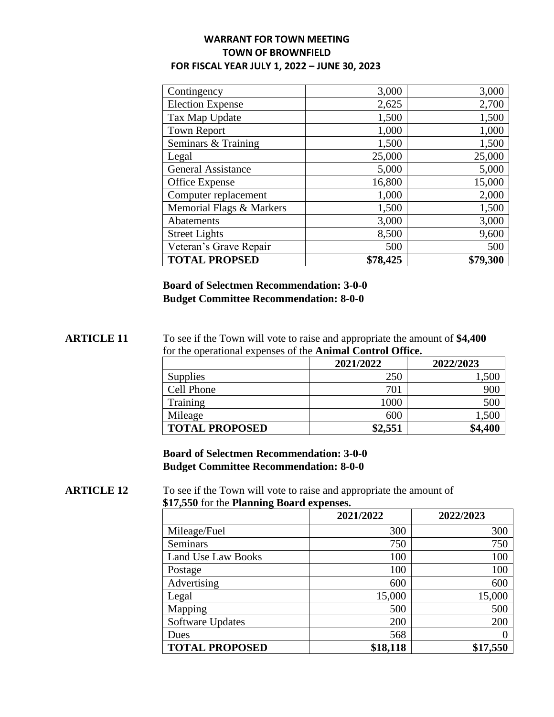| Contingency               | 3,000    | 3,000    |
|---------------------------|----------|----------|
| <b>Election Expense</b>   | 2,625    | 2,700    |
| Tax Map Update            | 1,500    | 1,500    |
| <b>Town Report</b>        | 1,000    | 1,000    |
| Seminars & Training       | 1,500    | 1,500    |
| Legal                     | 25,000   | 25,000   |
| <b>General Assistance</b> | 5,000    | 5,000    |
| Office Expense            | 16,800   | 15,000   |
| Computer replacement      | 1,000    | 2,000    |
| Memorial Flags & Markers  | 1,500    | 1,500    |
| Abatements                | 3,000    | 3,000    |
| <b>Street Lights</b>      | 8,500    | 9,600    |
| Veteran's Grave Repair    | 500      | 500      |
| <b>TOTAL PROPSED</b>      | \$78,425 | \$79,300 |

**Board of Selectmen Recommendation: 3-0-0 Budget Committee Recommendation: 8-0-0**

**ARTICLE 11** To see if the Town will vote to raise and appropriate the amount of **\$4,400** for the operational expenses of the **Animal Control Office.** 

|                       | 2021/2022 | 2022/2023 |
|-----------------------|-----------|-----------|
| Supplies              | 250       | 500,ا     |
| Cell Phone            | 701       | 900       |
| Training              | 1000      | 500       |
| Mileage               | 600       | 1,500     |
| <b>TOTAL PROPOSED</b> | \$2,551   | \$4,400   |

**Board of Selectmen Recommendation: 3-0-0 Budget Committee Recommendation: 8-0-0**

**ARTICLE** 12 To see if the Town will vote to raise and appropriate the amount of **\$17,550** for the **Planning Board expenses.**

|                           | 2021/2022 | 2022/2023 |
|---------------------------|-----------|-----------|
| Mileage/Fuel              | 300       | 300       |
| <b>Seminars</b>           | 750       | 750       |
| <b>Land Use Law Books</b> | 100       | 100       |
| Postage                   | 100       | 100       |
| Advertising               | 600       | 600       |
| Legal                     | 15,000    | 15,000    |
| Mapping                   | 500       | 500       |
| Software Updates          | 200       | 200       |
| Dues                      | 568       |           |
| <b>TOTAL PROPOSED</b>     | \$18,118  | \$17,550  |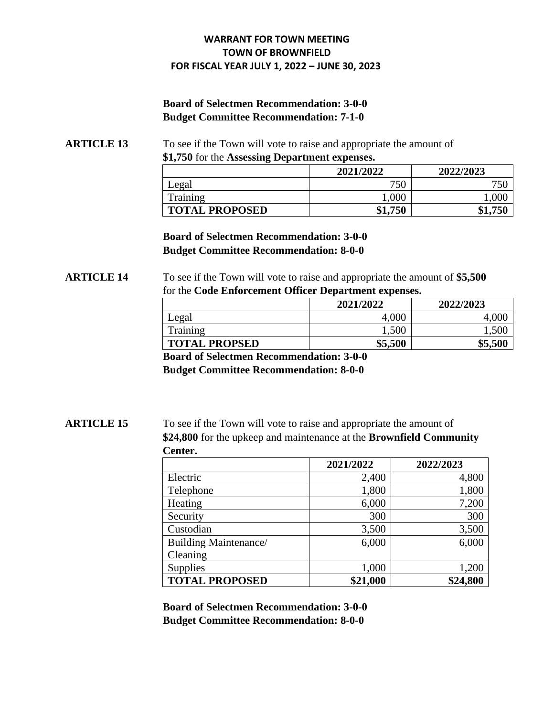# **Board of Selectmen Recommendation: 3-0-0 Budget Committee Recommendation: 7-1-0**

**ARTICLE 13** To see if the Town will vote to raise and appropriate the amount of **\$1,750** for the **Assessing Department expenses.** 

|                       | 2021/2022 | 2022/2023 |
|-----------------------|-----------|-----------|
| Legal                 | 750       | 750       |
| Training              | $1{.}000$ | 1.000     |
| <b>TOTAL PROPOSED</b> | \$1,750   | \$1,750   |

**Board of Selectmen Recommendation: 3-0-0 Budget Committee Recommendation: 8-0-0**

#### **ARTICLE 14** To see if the Town will vote to raise and appropriate the amount of **\$5,500** for the **Code Enforcement Officer Department expenses.**

|                      | 2021/2022 | 2022/2023 |
|----------------------|-----------|-----------|
| Legal                | 4,000     |           |
| Training             | 1,500     | 1,500     |
| <b>TOTAL PROPSED</b> | \$5,500   | \$5,500   |

**Board of Selectmen Recommendation: 3-0-0** 

**Budget Committee Recommendation: 8-0-0**

**ARTICLE 15** To see if the Town will vote to raise and appropriate the amount of **\$24,800** for the upkeep and maintenance at the **Brownfield Community Center.**

|                              | 2021/2022 | 2022/2023 |
|------------------------------|-----------|-----------|
| Electric                     | 2,400     | 4,800     |
| Telephone                    | 1,800     | 1,800     |
| Heating                      | 6,000     | 7,200     |
| Security                     | 300       | 300       |
| Custodian                    | 3,500     | 3,500     |
| <b>Building Maintenance/</b> | 6,000     | 6,000     |
| Cleaning                     |           |           |
| Supplies                     | 1,000     | 1,200     |
| <b>TOTAL PROPOSED</b>        | \$21,000  | \$24,800  |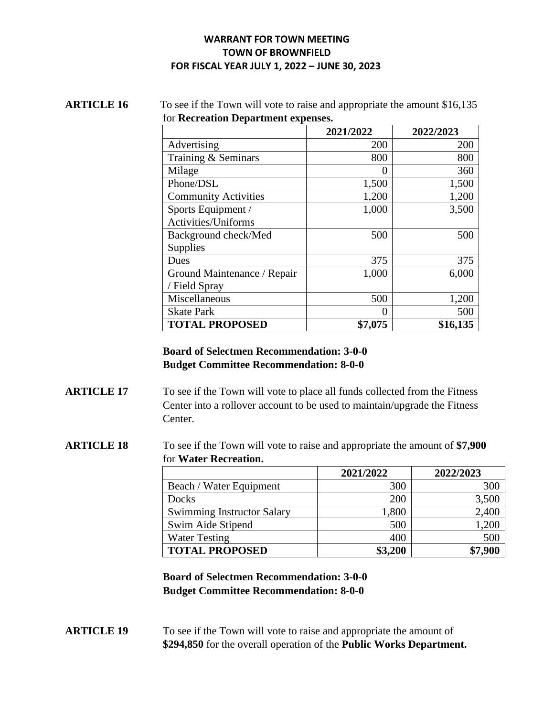#### **ARTICLE 16** To see if the Town will vote to raise and appropriate the amount \$16,135 for **Recreation Department expenses.**

|                             | 2021/2022        | 2022/2023 |
|-----------------------------|------------------|-----------|
| Advertising                 | 200              | 200       |
| Training & Seminars         | 800              | 800       |
| Milage                      | $\left( \right)$ | 360       |
| Phone/DSL                   | 1,500            | 1,500     |
| <b>Community Activities</b> | 1,200            | 1,200     |
| Sports Equipment /          | 1,000            | 3,500     |
| Activities/Uniforms         |                  |           |
| Background check/Med        | 500              | 500       |
| Supplies                    |                  |           |
| Dues                        | 375              | 375       |
| Ground Maintenance / Repair | 1,000            | 6,000     |
| / Field Spray               |                  |           |
| Miscellaneous               | 500              | 1,200     |
| <b>Skate Park</b>           | 0                | 500       |
| <b>TOTAL PROPOSED</b>       | \$7,075          | \$16,135  |

# **Board of Selectmen Recommendation: 3-0-0 Budget Committee Recommendation: 8-0-0**

- **ARTICLE 17** To see if the Town will vote to place all funds collected from the Fitness Center into a rollover account to be used to maintain/upgrade the Fitness Center.
- **ARTICLE 18** To see if the Town will vote to raise and appropriate the amount of **\$7,900** for **Water Recreation.**

|                                   | 2021/2022 | 2022/2023 |
|-----------------------------------|-----------|-----------|
| Beach / Water Equipment           | 300       | 300       |
| Docks                             | 200       | 3,500     |
| <b>Swimming Instructor Salary</b> | 1,800     | 2,400     |
| Swim Aide Stipend                 | 500       | 1,200     |
| <b>Water Testing</b>              | 400       | 500       |
| <b>TOTAL PROPOSED</b>             | \$3,200   | \$7,900   |

**Board of Selectmen Recommendation: 3-0-0 Budget Committee Recommendation: 8-0-0**

**ARTICLE 19** To see if the Town will vote to raise and appropriate the amount of **\$294,850** for the overall operation of the **Public Works Department.**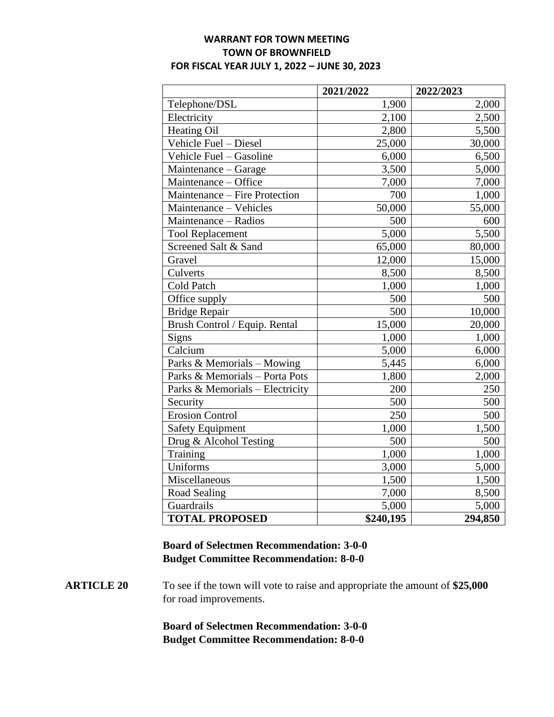|                                 | 2021/2022 | 2022/2023 |
|---------------------------------|-----------|-----------|
| Telephone/DSL                   | 1,900     | 2,000     |
| Electricity                     | 2,100     | 2,500     |
| <b>Heating Oil</b>              | 2,800     | 5,500     |
| Vehicle Fuel - Diesel           | 25,000    | 30,000    |
| Vehicle Fuel - Gasoline         | 6,000     | 6,500     |
| Maintenance – Garage            | 3,500     | 5,000     |
| Maintenance - Office            | 7,000     | 7,000     |
| Maintenance - Fire Protection   | 700       | 1,000     |
| Maintenance - Vehicles          | 50,000    | 55,000    |
| Maintenance - Radios            | 500       | 600       |
| <b>Tool Replacement</b>         | 5,000     | 5,500     |
| Screened Salt & Sand            | 65,000    | 80,000    |
| Gravel                          | 12,000    | 15,000    |
| Culverts                        | 8,500     | 8,500     |
| <b>Cold Patch</b>               | 1,000     | 1,000     |
| Office supply                   | 500       | 500       |
| <b>Bridge Repair</b>            | 500       | 10,000    |
| Brush Control / Equip. Rental   | 15,000    | 20,000    |
| <b>Signs</b>                    | 1,000     | 1,000     |
| Calcium                         | 5,000     | 6,000     |
| Parks & Memorials - Mowing      | 5,445     | 6,000     |
| Parks & Memorials - Porta Pots  | 1,800     | 2,000     |
| Parks & Memorials - Electricity | 200       | 250       |
| Security                        | 500       | 500       |
| <b>Erosion Control</b>          | 250       | 500       |
| <b>Safety Equipment</b>         | 1,000     | 1,500     |
| Drug & Alcohol Testing          | 500       | 500       |
| Training                        | 1,000     | 1,000     |
| Uniforms                        | 3,000     | 5,000     |
| Miscellaneous                   | 1,500     | 1,500     |
| Road Sealing                    | 7,000     | 8,500     |
| Guardrails                      | 5,000     | 5,000     |
| <b>TOTAL PROPOSED</b>           | \$240,195 | 294,850   |

# **Board of Selectmen Recommendation: 3-0-0 Budget Committee Recommendation: 8-0-0**

# **ARTICLE 20** To see if the town will vote to raise and appropriate the amount of **\$25,000**  for road improvements.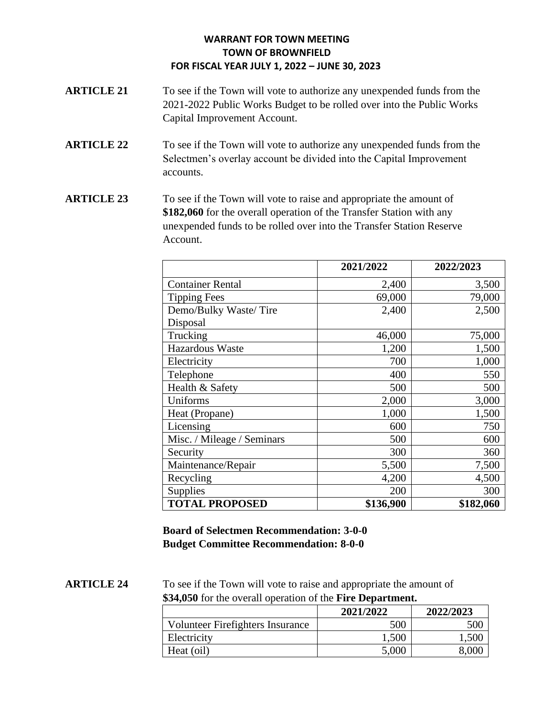- **ARTICLE 21** To see if the Town will vote to authorize any unexpended funds from the 2021-2022 Public Works Budget to be rolled over into the Public Works Capital Improvement Account.
- **ARTICLE** 22 To see if the Town will vote to authorize any unexpended funds from the Selectmen's overlay account be divided into the Capital Improvement accounts.
- **ARTICLE 23** To see if the Town will vote to raise and appropriate the amount of **\$182,060** for the overall operation of the Transfer Station with any unexpended funds to be rolled over into the Transfer Station Reserve Account.

|                            | 2021/2022 | 2022/2023 |
|----------------------------|-----------|-----------|
| <b>Container Rental</b>    | 2,400     | 3,500     |
| <b>Tipping Fees</b>        | 69,000    | 79,000    |
| Demo/Bulky Waste/Tire      | 2,400     | 2,500     |
| Disposal                   |           |           |
| Trucking                   | 46,000    | 75,000    |
| Hazardous Waste            | 1,200     | 1,500     |
| Electricity                | 700       | 1,000     |
| Telephone                  | 400       | 550       |
| Health & Safety            | 500       | 500       |
| Uniforms                   | 2,000     | 3,000     |
| Heat (Propane)             | 1,000     | 1,500     |
| Licensing                  | 600       | 750       |
| Misc. / Mileage / Seminars | 500       | 600       |
| Security                   | 300       | 360       |
| Maintenance/Repair         | 5,500     | 7,500     |
| Recycling                  | 4,200     | 4,500     |
| Supplies                   | 200       | 300       |
| <b>TOTAL PROPOSED</b>      | \$136,900 | \$182,060 |

**Board of Selectmen Recommendation: 3-0-0 Budget Committee Recommendation: 8-0-0**

**ARTICLE 24** To see if the Town will vote to raise and appropriate the amount of **\$34,050** for the overall operation of the **Fire Department.** 

|                                  | 2021/2022 | 2022/2023 |
|----------------------------------|-----------|-----------|
| Volunteer Firefighters Insurance | 500       | 500       |
| Electricity                      | 1,500     | 1,500     |
| Heat (oil)                       | 5,000     | 8.000     |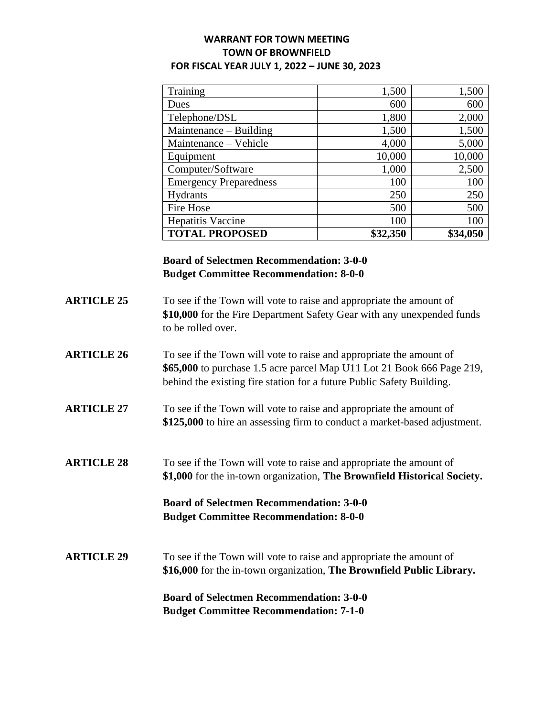| Training                      | 1,500    | 1,500    |
|-------------------------------|----------|----------|
| Dues                          | 600      | 600      |
| Telephone/DSL                 | 1,800    | 2,000    |
| Maintenance – Building        | 1,500    | 1,500    |
| Maintenance - Vehicle         | 4,000    | 5,000    |
| Equipment                     | 10,000   | 10,000   |
| Computer/Software             | 1,000    | 2,500    |
| <b>Emergency Preparedness</b> | 100      | 100      |
| Hydrants                      | 250      | 250      |
| Fire Hose                     | 500      | 500      |
| Hepatitis Vaccine             | 100      | 100      |
| <b>TOTAL PROPOSED</b>         | \$32,350 | \$34,050 |

# **Board of Selectmen Recommendation: 3-0-0 Budget Committee Recommendation: 8-0-0**

- **ARTICLE 25** To see if the Town will vote to raise and appropriate the amount of **\$10,000** for the Fire Department Safety Gear with any unexpended funds to be rolled over.
- **ARTICLE 26** To see if the Town will vote to raise and appropriate the amount of **\$65,000** to purchase 1.5 acre parcel Map U11 Lot 21 Book 666 Page 219, behind the existing fire station for a future Public Safety Building.
- **ARTICLE 27** To see if the Town will vote to raise and appropriate the amount of **\$125,000** to hire an assessing firm to conduct a market-based adjustment.
- **ARTICLE 28** To see if the Town will vote to raise and appropriate the amount of **\$1,000** for the in-town organization, **The Brownfield Historical Society.**

# **Board of Selectmen Recommendation: 3-0-0 Budget Committee Recommendation: 8-0-0**

**ARTICLE 29** To see if the Town will vote to raise and appropriate the amount of **\$16,000** for the in-town organization, **The Brownfield Public Library.**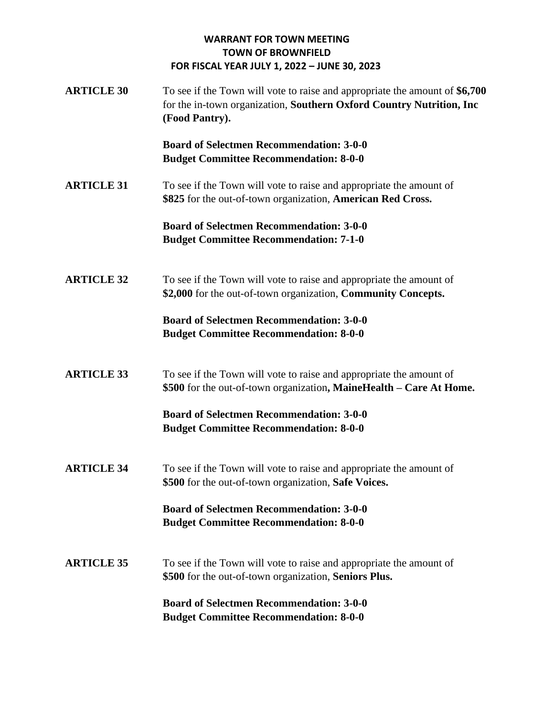**ARTICLE 30** To see if the Town will vote to raise and appropriate the amount of **\$6,700**  for the in-town organization, **Southern Oxford Country Nutrition, Inc (Food Pantry).** 

> **Board of Selectmen Recommendation: 3-0-0 Budget Committee Recommendation: 8-0-0**

**ARTICLE** 31 To see if the Town will vote to raise and appropriate the amount of **\$825** for the out-of-town organization, **American Red Cross.** 

> **Board of Selectmen Recommendation: 3-0-0 Budget Committee Recommendation: 7-1-0**

**ARTICLE** 32 To see if the Town will vote to raise and appropriate the amount of **\$2,000** for the out-of-town organization, **Community Concepts.**

> **Board of Selectmen Recommendation: 3-0-0 Budget Committee Recommendation: 8-0-0**

**ARTICLE 33** To see if the Town will vote to raise and appropriate the amount of **\$500** for the out-of-town organization**, MaineHealth – Care At Home.**

> **Board of Selectmen Recommendation: 3-0-0 Budget Committee Recommendation: 8-0-0**

**ARTICLE** 34 To see if the Town will vote to raise and appropriate the amount of **\$500** for the out-of-town organization, **Safe Voices.** 

> **Board of Selectmen Recommendation: 3-0-0 Budget Committee Recommendation: 8-0-0**

**ARTICLE** 35 To see if the Town will vote to raise and appropriate the amount of **\$500** for the out-of-town organization, **Seniors Plus.**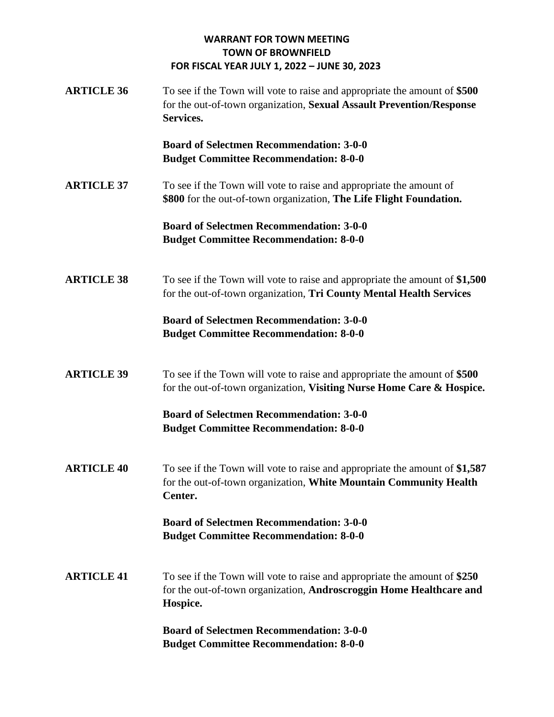**ARTICLE 36** To see if the Town will vote to raise and appropriate the amount of **\$500** for the out-of-town organization, **Sexual Assault Prevention/Response Services.** 

> **Board of Selectmen Recommendation: 3-0-0 Budget Committee Recommendation: 8-0-0**

**ARTICLE** 37 To see if the Town will vote to raise and appropriate the amount of **\$800** for the out-of-town organization, **The Life Flight Foundation.** 

> **Board of Selectmen Recommendation: 3-0-0 Budget Committee Recommendation: 8-0-0**

**ARTICLE 38** To see if the Town will vote to raise and appropriate the amount of **\$1,500**  for the out-of-town organization, **Tri County Mental Health Services** 

> **Board of Selectmen Recommendation: 3-0-0 Budget Committee Recommendation: 8-0-0**

**ARTICLE 39** To see if the Town will vote to raise and appropriate the amount of **\$500** for the out-of-town organization, **Visiting Nurse Home Care & Hospice.** 

> **Board of Selectmen Recommendation: 3-0-0 Budget Committee Recommendation: 8-0-0**

**ARTICLE 40** To see if the Town will vote to raise and appropriate the amount of **\$1,587**  for the out-of-town organization, **White Mountain Community Health Center.**

> **Board of Selectmen Recommendation: 3-0-0 Budget Committee Recommendation: 8-0-0**

**ARTICLE 41** To see if the Town will vote to raise and appropriate the amount of **\$250**  for the out-of-town organization, **Androscroggin Home Healthcare and Hospice.**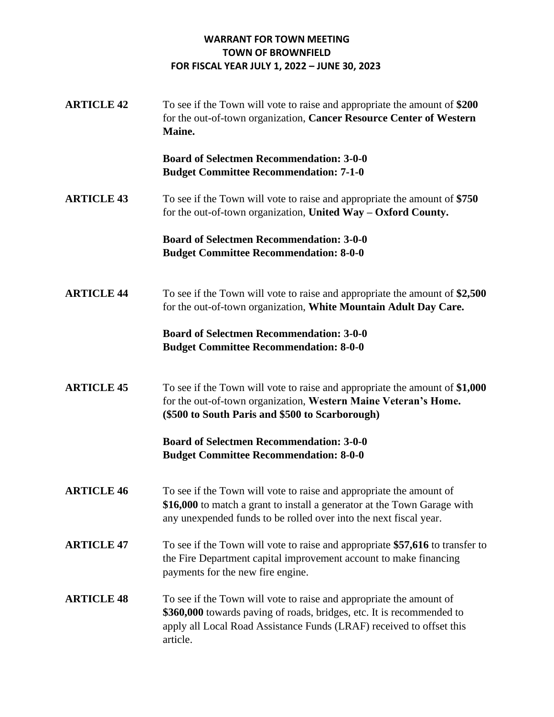**ARTICLE 42** To see if the Town will vote to raise and appropriate the amount of **\$200**  for the out-of-town organization, **Cancer Resource Center of Western Maine.** 

> **Board of Selectmen Recommendation: 3-0-0 Budget Committee Recommendation: 7-1-0**

**ARTICLE 43** To see if the Town will vote to raise and appropriate the amount of **\$750**  for the out-of-town organization, **United Way – Oxford County.** 

> **Board of Selectmen Recommendation: 3-0-0 Budget Committee Recommendation: 8-0-0**

**ARTICLE 44** To see if the Town will vote to raise and appropriate the amount of **\$2,500**  for the out-of-town organization, **White Mountain Adult Day Care.** 

# **Board of Selectmen Recommendation: 3-0-0 Budget Committee Recommendation: 8-0-0**

**ARTICLE 45** To see if the Town will vote to raise and appropriate the amount of **\$1,000** for the out-of-town organization, **Western Maine Veteran's Home. (\$500 to South Paris and \$500 to Scarborough)** 

- **ARTICLE 46** To see if the Town will vote to raise and appropriate the amount of **\$16,000** to match a grant to install a generator at the Town Garage with any unexpended funds to be rolled over into the next fiscal year.
- **ARTICLE 47** To see if the Town will vote to raise and appropriate **\$57,616** to transfer to the Fire Department capital improvement account to make financing payments for the new fire engine.
- **ARTICLE 48** To see if the Town will vote to raise and appropriate the amount of **\$360,000** towards paving of roads, bridges, etc. It is recommended to apply all Local Road Assistance Funds (LRAF) received to offset this article.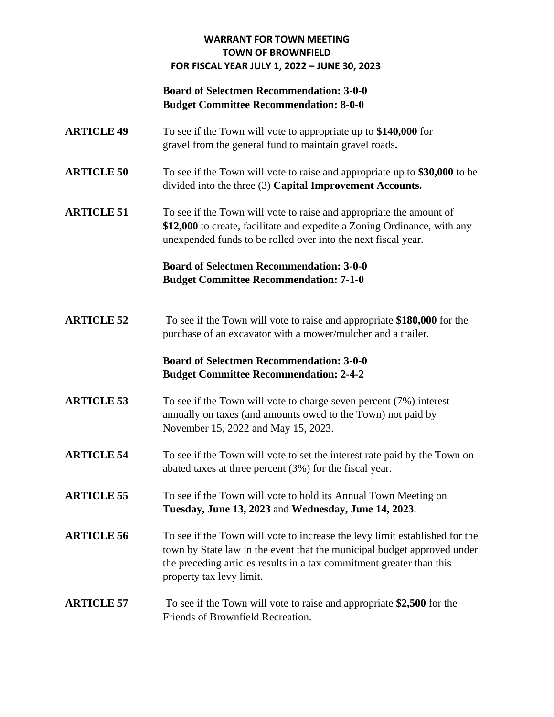# **Board of Selectmen Recommendation: 3-0-0 Budget Committee Recommendation: 8-0-0**

- **ARTICLE 49** To see if the Town will vote to appropriate up to **\$140,000** for gravel from the general fund to maintain gravel roads**.**
- **ARTICLE 50** To see if the Town will vote to raise and appropriate up to **\$30,000** to be divided into the three (3) **Capital Improvement Accounts.**
- **ARTICLE 51** To see if the Town will vote to raise and appropriate the amount of **\$12,000** to create, facilitate and expedite a Zoning Ordinance, with any unexpended funds to be rolled over into the next fiscal year.

# **Board of Selectmen Recommendation: 3-0-0 Budget Committee Recommendation: 7-1-0**

**ARTICLE 52** To see if the Town will vote to raise and appropriate **\$180,000** for the purchase of an excavator with a mower/mulcher and a trailer.

# **Board of Selectmen Recommendation: 3-0-0 Budget Committee Recommendation: 2-4-2**

- **ARTICLE 53** To see if the Town will vote to charge seven percent (7%) interest annually on taxes (and amounts owed to the Town) not paid by November 15, 2022 and May 15, 2023.
- **ARTICLE 54** To see if the Town will vote to set the interest rate paid by the Town on abated taxes at three percent (3%) for the fiscal year.
- **ARTICLE 55** To see if the Town will vote to hold its Annual Town Meeting on **Tuesday, June 13, 2023** and **Wednesday, June 14, 2023**.
- **ARTICLE 56** To see if the Town will vote to increase the levy limit established for the town by State law in the event that the municipal budget approved under the preceding articles results in a tax commitment greater than this property tax levy limit.

# **ARTICLE 57** To see if the Town will vote to raise and appropriate **\$2,500** for the Friends of Brownfield Recreation.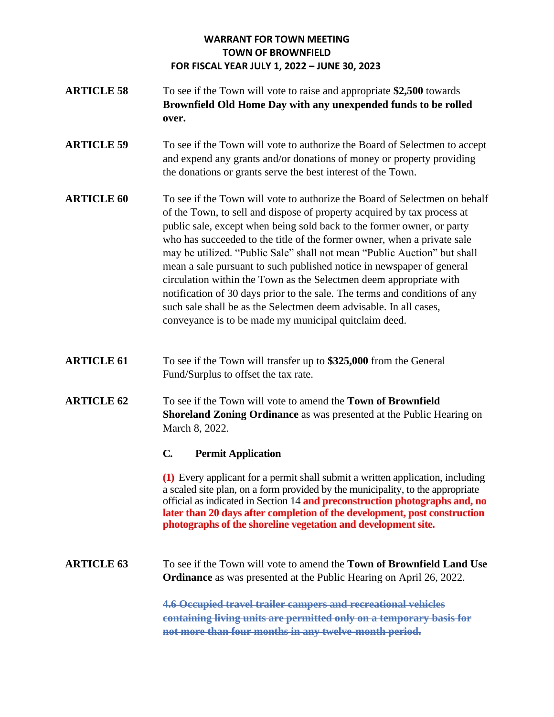- **ARTICLE 58** To see if the Town will vote to raise and appropriate **\$2,500** towards **Brownfield Old Home Day with any unexpended funds to be rolled over.**
- **ARTICLE 59** To see if the Town will vote to authorize the Board of Selectmen to accept and expend any grants and/or donations of money or property providing the donations or grants serve the best interest of the Town.
- **ARTICLE 60** To see if the Town will vote to authorize the Board of Selectmen on behalf of the Town, to sell and dispose of property acquired by tax process at public sale, except when being sold back to the former owner, or party who has succeeded to the title of the former owner, when a private sale may be utilized. "Public Sale" shall not mean "Public Auction" but shall mean a sale pursuant to such published notice in newspaper of general circulation within the Town as the Selectmen deem appropriate with notification of 30 days prior to the sale. The terms and conditions of any such sale shall be as the Selectmen deem advisable. In all cases, conveyance is to be made my municipal quitclaim deed.
- **ARTICLE 61** To see if the Town will transfer up to \$325,000 from the General Fund/Surplus to offset the tax rate.
- **ARTICLE 62** To see if the Town will vote to amend the **Town of Brownfield Shoreland Zoning Ordinance** as was presented at the Public Hearing on March 8, 2022.

# **C. Permit Application**

**(1)** Every applicant for a permit shall submit a written application, including a scaled site plan, on a form provided by the municipality, to the appropriate official as indicated in Section 14 **and preconstruction photographs and, no later than 20 days after completion of the development, post construction photographs of the shoreline vegetation and development site.** 

**ARTICLE 63** To see if the Town will vote to amend the **Town of Brownfield Land Use Ordinance** as was presented at the Public Hearing on April 26, 2022.

> **4.6 Occupied travel trailer campers and recreational vehicles containing living units are permitted only on a temporary basis for not more than four months in any twelve-month period.**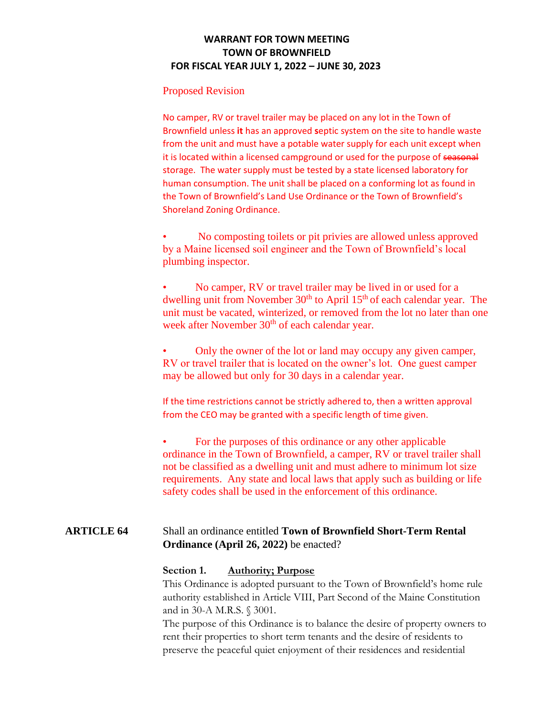#### Proposed Revision

No camper, RV or travel trailer may be placed on any lot in the Town of Brownfield unless **it** has an approved **s**eptic system on the site to handle waste from the unit and must have a potable water supply for each unit except when it is located within a licensed campground or used for the purpose of seasonal storage. The water supply must be tested by a state licensed laboratory for human consumption. The unit shall be placed on a conforming lot as found in the Town of Brownfield's Land Use Ordinance or the Town of Brownfield's Shoreland Zoning Ordinance.

• No composting toilets or pit privies are allowed unless approved by a Maine licensed soil engineer and the Town of Brownfield's local plumbing inspector.

• No camper, RV or travel trailer may be lived in or used for a dwelling unit from November  $30<sup>th</sup>$  to April  $15<sup>th</sup>$  of each calendar year. The unit must be vacated, winterized, or removed from the lot no later than one week after November 30<sup>th</sup> of each calendar year.

• Only the owner of the lot or land may occupy any given camper, RV or travel trailer that is located on the owner's lot. One guest camper may be allowed but only for 30 days in a calendar year.

If the time restrictions cannot be strictly adhered to, then a written approval from the CEO may be granted with a specific length of time given.

• For the purposes of this ordinance or any other applicable ordinance in the Town of Brownfield, a camper, RV or travel trailer shall not be classified as a dwelling unit and must adhere to minimum lot size requirements. Any state and local laws that apply such as building or life safety codes shall be used in the enforcement of this ordinance.

# **ARTICLE 64** Shall an ordinance entitled **Town of Brownfield Short-Term Rental Ordinance (April 26, 2022)** be enacted?

#### **Section 1. Authority; Purpose**

This Ordinance is adopted pursuant to the Town of Brownfield's home rule authority established in Article VIII, Part Second of the Maine Constitution and in 30-A M.R.S. § 3001.

The purpose of this Ordinance is to balance the desire of property owners to rent their properties to short term tenants and the desire of residents to preserve the peaceful quiet enjoyment of their residences and residential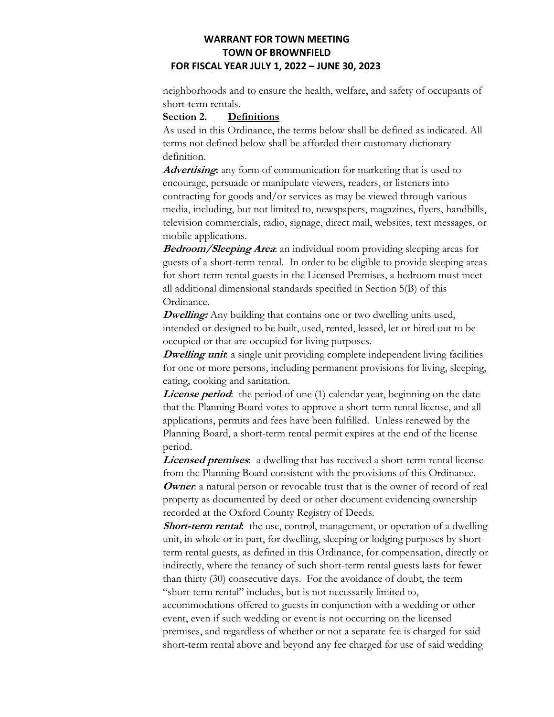neighborhoods and to ensure the health, welfare, and safety of occupants of short-term rentals.

#### **Section 2. Definitions**

As used in this Ordinance, the terms below shall be defined as indicated. All terms not defined below shall be afforded their customary dictionary definition.

**Advertising:** any form of communication for marketing that is used to encourage, persuade or manipulate viewers, readers, or listeners into contracting for goods and/or services as may be viewed through various media, including, but not limited to, newspapers, magazines, flyers, handbills, television commercials, radio, signage, direct mail, websites, text messages, or mobile applications.

**Bedroom/Sleeping Area**: an individual room providing sleeping areas for guests of a short-term rental. In order to be eligible to provide sleeping areas for short-term rental guests in the Licensed Premises, a bedroom must meet all additional dimensional standards specified in Section 5(B) of this Ordinance.

**Dwelling:** Any building that contains one or two dwelling units used, intended or designed to be built, used, rented, leased, let or hired out to be occupied or that are occupied for living purposes.

**Dwelling unit**: a single unit providing complete independent living facilities for one or more persons, including permanent provisions for living, sleeping, eating, cooking and sanitation.

**License period**: the period of one (1) calendar year, beginning on the date that the Planning Board votes to approve a short-term rental license, and all applications, permits and fees have been fulfilled. Unless renewed by the Planning Board, a short-term rental permit expires at the end of the license period.

**Licensed premises**: a dwelling that has received a short-term rental license from the Planning Board consistent with the provisions of this Ordinance. **Owner**: a natural person or revocable trust that is the owner of record of real property as documented by deed or other document evidencing ownership recorded at the Oxford County Registry of Deeds.

**Short-term rental**: the use, control, management, or operation of a dwelling unit, in whole or in part, for dwelling, sleeping or lodging purposes by shortterm rental guests, as defined in this Ordinance, for compensation, directly or indirectly, where the tenancy of such short-term rental guests lasts for fewer than thirty (30) consecutive days. For the avoidance of doubt, the term "short-term rental" includes, but is not necessarily limited to,

accommodations offered to guests in conjunction with a wedding or other event, even if such wedding or event is not occurring on the licensed premises, and regardless of whether or not a separate fee is charged for said short-term rental above and beyond any fee charged for use of said wedding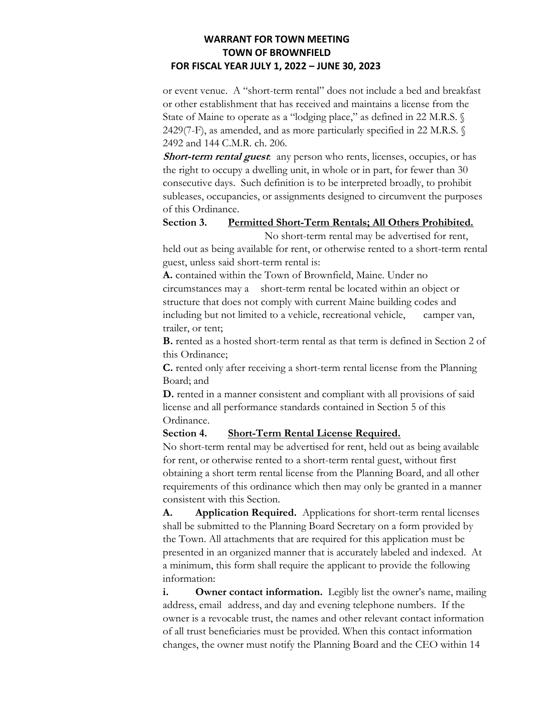or event venue. A "short-term rental" does not include a bed and breakfast or other establishment that has received and maintains a license from the State of Maine to operate as a "lodging place," as defined in 22 M.R.S. § 2429(7-F), as amended, and as more particularly specified in 22 M.R.S. § 2492 and 144 C.M.R. ch. 206.

**Short-term rental guest**: any person who rents, licenses, occupies, or has the right to occupy a dwelling unit, in whole or in part, for fewer than 30 consecutive days. Such definition is to be interpreted broadly, to prohibit subleases, occupancies, or assignments designed to circumvent the purposes of this Ordinance.

#### **Section 3. Permitted Short-Term Rentals; All Others Prohibited.**

No short-term rental may be advertised for rent, held out as being available for rent, or otherwise rented to a short-term rental guest, unless said short-term rental is:

**A.** contained within the Town of Brownfield, Maine. Under no circumstances may a short-term rental be located within an object or structure that does not comply with current Maine building codes and including but not limited to a vehicle, recreational vehicle, camper van, trailer, or tent;

**B.** rented as a hosted short-term rental as that term is defined in Section 2 of this Ordinance;

**C.** rented only after receiving a short-term rental license from the Planning Board; and

**D.** rented in a manner consistent and compliant with all provisions of said license and all performance standards contained in Section 5 of this Ordinance.

#### **Section 4. Short-Term Rental License Required.**

No short-term rental may be advertised for rent, held out as being available for rent, or otherwise rented to a short-term rental guest, without first obtaining a short term rental license from the Planning Board, and all other requirements of this ordinance which then may only be granted in a manner consistent with this Section.

**A. Application Required.** Applications for short-term rental licenses shall be submitted to the Planning Board Secretary on a form provided by the Town. All attachments that are required for this application must be presented in an organized manner that is accurately labeled and indexed. At a minimum, this form shall require the applicant to provide the following information:

**i.** Owner contact information. Legibly list the owner's name, mailing address, email address, and day and evening telephone numbers. If the owner is a revocable trust, the names and other relevant contact information of all trust beneficiaries must be provided. When this contact information changes, the owner must notify the Planning Board and the CEO within 14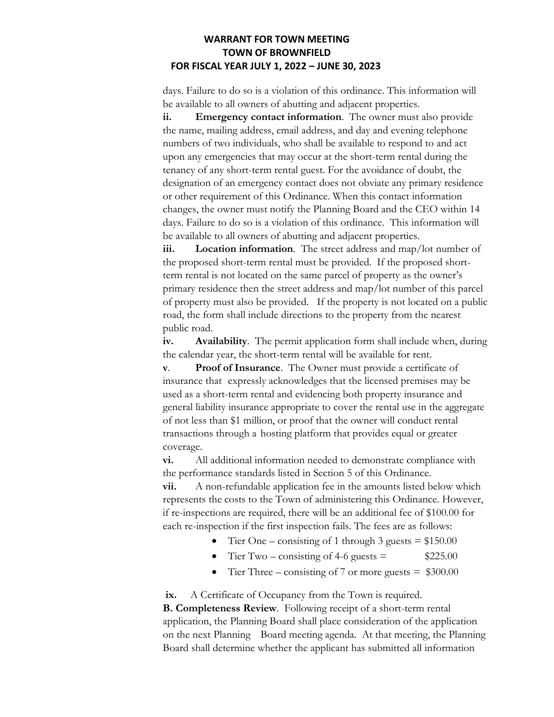days. Failure to do so is a violation of this ordinance. This information will be available to all owners of abutting and adjacent properties.

**ii. Emergency contact information**. The owner must also provide the name, mailing address, email address, and day and evening telephone numbers of two individuals, who shall be available to respond to and act upon any emergencies that may occur at the short-term rental during the tenancy of any short-term rental guest. For the avoidance of doubt, the designation of an emergency contact does not obviate any primary residence or other requirement of this Ordinance. When this contact information changes, the owner must notify the Planning Board and the CEO within 14 days. Failure to do so is a violation of this ordinance. This information will be available to all owners of abutting and adjacent properties.

**iii. Location information**. The street address and map/lot number of the proposed short-term rental must be provided. If the proposed shortterm rental is not located on the same parcel of property as the owner's primary residence then the street address and map/lot number of this parcel of property must also be provided. If the property is not located on a public road, the form shall include directions to the property from the nearest public road.

**iv. Availability**. The permit application form shall include when, during the calendar year, the short-term rental will be available for rent.

**v**. **Proof of Insurance**. The Owner must provide a certificate of insurance that expressly acknowledges that the licensed premises may be used as a short-term rental and evidencing both property insurance and general liability insurance appropriate to cover the rental use in the aggregate of not less than \$1 million, or proof that the owner will conduct rental transactions through a hosting platform that provides equal or greater coverage.

**vi.** All additional information needed to demonstrate compliance with the performance standards listed in Section 5 of this Ordinance.

**vii.** A non-refundable application fee in the amounts listed below which represents the costs to the Town of administering this Ordinance. However, if re-inspections are required, there will be an additional fee of \$100.00 for each re-inspection if the first inspection fails. The fees are as follows:

- Tier One consisting of 1 through 3 guests  $= $150.00$
- Tier Two consisting of 4-6 guests  $=$  \$225.00
- Tier Three consisting of 7 or more guests  $=$  \$300.00

**ix.** A Certificate of Occupancy from the Town is required.

**B. Completeness Review**. Following receipt of a short-term rental application, the Planning Board shall place consideration of the application on the next Planning Board meeting agenda. At that meeting, the Planning Board shall determine whether the applicant has submitted all information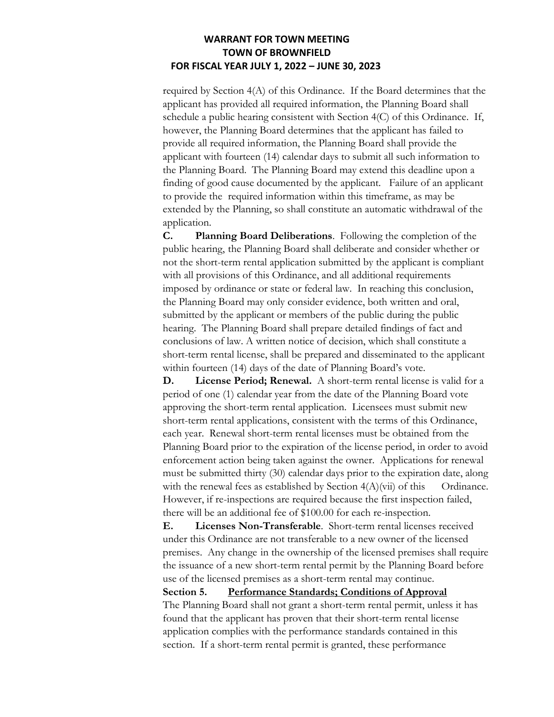required by Section 4(A) of this Ordinance. If the Board determines that the applicant has provided all required information, the Planning Board shall schedule a public hearing consistent with Section 4(C) of this Ordinance. If, however, the Planning Board determines that the applicant has failed to provide all required information, the Planning Board shall provide the applicant with fourteen (14) calendar days to submit all such information to the Planning Board. The Planning Board may extend this deadline upon a finding of good cause documented by the applicant. Failure of an applicant to provide the required information within this timeframe, as may be extended by the Planning, so shall constitute an automatic withdrawal of the application.

**C. Planning Board Deliberations**. Following the completion of the public hearing, the Planning Board shall deliberate and consider whether or not the short-term rental application submitted by the applicant is compliant with all provisions of this Ordinance, and all additional requirements imposed by ordinance or state or federal law. In reaching this conclusion, the Planning Board may only consider evidence, both written and oral, submitted by the applicant or members of the public during the public hearing. The Planning Board shall prepare detailed findings of fact and conclusions of law. A written notice of decision, which shall constitute a short-term rental license, shall be prepared and disseminated to the applicant within fourteen (14) days of the date of Planning Board's vote.

**D. License Period; Renewal.** A short-term rental license is valid for a period of one (1) calendar year from the date of the Planning Board vote approving the short-term rental application. Licensees must submit new short-term rental applications, consistent with the terms of this Ordinance, each year. Renewal short-term rental licenses must be obtained from the Planning Board prior to the expiration of the license period, in order to avoid enforcement action being taken against the owner. Applications for renewal must be submitted thirty (30) calendar days prior to the expiration date, along with the renewal fees as established by Section  $4(A)(vi)$  of this Ordinance. However, if re-inspections are required because the first inspection failed, there will be an additional fee of \$100.00 for each re-inspection.

**E. Licenses Non-Transferable**. Short-term rental licenses received under this Ordinance are not transferable to a new owner of the licensed premises. Any change in the ownership of the licensed premises shall require the issuance of a new short-term rental permit by the Planning Board before use of the licensed premises as a short-term rental may continue.

**Section 5. Performance Standards; Conditions of Approval**

The Planning Board shall not grant a short-term rental permit, unless it has found that the applicant has proven that their short-term rental license application complies with the performance standards contained in this section. If a short-term rental permit is granted, these performance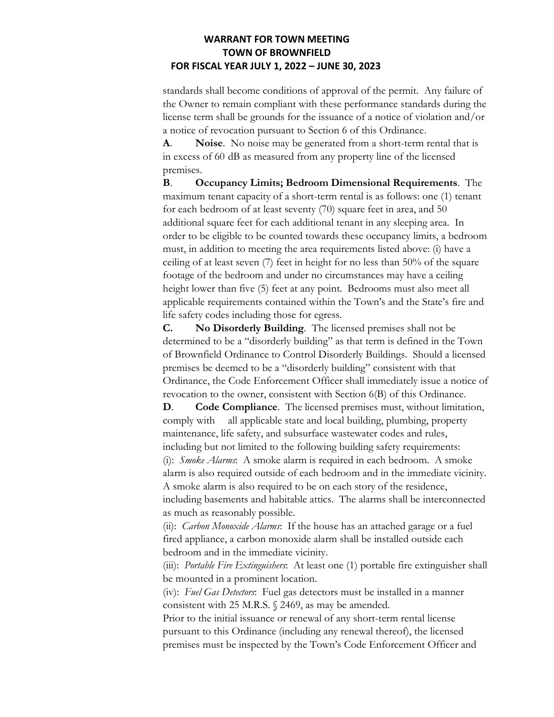standards shall become conditions of approval of the permit. Any failure of the Owner to remain compliant with these performance standards during the license term shall be grounds for the issuance of a notice of violation and/or a notice of revocation pursuant to Section 6 of this Ordinance.

**A**. **Noise**. No noise may be generated from a short-term rental that is in excess of 60 dB as measured from any property line of the licensed premises.

**B**. **Occupancy Limits; Bedroom Dimensional Requirements**. The maximum tenant capacity of a short-term rental is as follows: one (1) tenant for each bedroom of at least seventy (70) square feet in area, and 50 additional square feet for each additional tenant in any sleeping area. In order to be eligible to be counted towards these occupancy limits, a bedroom must, in addition to meeting the area requirements listed above: (i) have a ceiling of at least seven (7) feet in height for no less than 50% of the square footage of the bedroom and under no circumstances may have a ceiling height lower than five (5) feet at any point. Bedrooms must also meet all applicable requirements contained within the Town's and the State's fire and life safety codes including those for egress.

**C. No Disorderly Building**. The licensed premises shall not be determined to be a "disorderly building" as that term is defined in the Town of Brownfield Ordinance to Control Disorderly Buildings. Should a licensed premises be deemed to be a "disorderly building" consistent with that Ordinance, the Code Enforcement Officer shall immediately issue a notice of revocation to the owner, consistent with Section 6(B) of this Ordinance.

**D**. **Code Compliance**. The licensed premises must, without limitation, comply with all applicable state and local building, plumbing, property maintenance, life safety, and subsurface wastewater codes and rules, including but not limited to the following building safety requirements: (i): *Smoke Alarms*: A smoke alarm is required in each bedroom. A smoke alarm is also required outside of each bedroom and in the immediate vicinity. A smoke alarm is also required to be on each story of the residence, including basements and habitable attics. The alarms shall be interconnected as much as reasonably possible.

(ii): *Carbon Monoxide Alarms*: If the house has an attached garage or a fuel fired appliance, a carbon monoxide alarm shall be installed outside each bedroom and in the immediate vicinity.

(iii): *Portable Fire Extinguishers*: At least one (1) portable fire extinguisher shall be mounted in a prominent location.

(iv): *Fuel Gas Detectors*: Fuel gas detectors must be installed in a manner consistent with 25 M.R.S. § 2469, as may be amended.

Prior to the initial issuance or renewal of any short-term rental license pursuant to this Ordinance (including any renewal thereof), the licensed premises must be inspected by the Town's Code Enforcement Officer and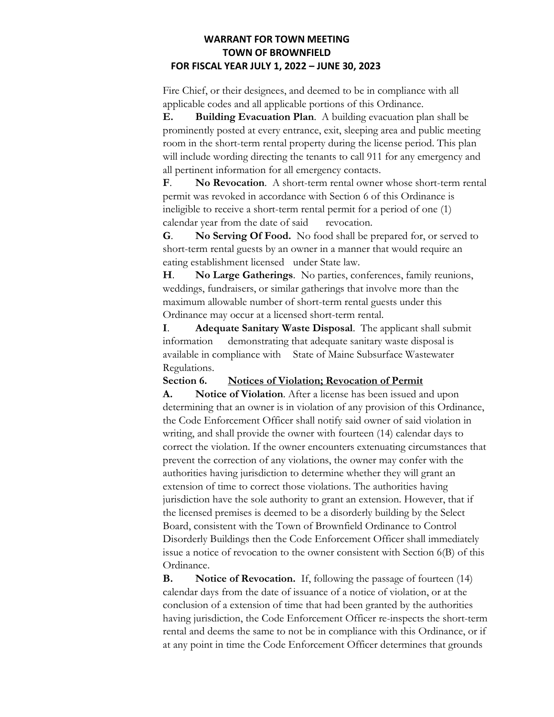Fire Chief, or their designees, and deemed to be in compliance with all applicable codes and all applicable portions of this Ordinance.

**E. Building Evacuation Plan**. A building evacuation plan shall be prominently posted at every entrance, exit, sleeping area and public meeting room in the short-term rental property during the license period. This plan will include wording directing the tenants to call 911 for any emergency and all pertinent information for all emergency contacts.

**F**. **No Revocation**. A short-term rental owner whose short-term rental permit was revoked in accordance with Section 6 of this Ordinance is ineligible to receive a short-term rental permit for a period of one (1) calendar year from the date of said revocation.

**G**. **No Serving Of Food.** No food shall be prepared for, or served to short-term rental guests by an owner in a manner that would require an eating establishment licensed under State law.

**H**. **No Large Gatherings**. No parties, conferences, family reunions, weddings, fundraisers, or similar gatherings that involve more than the maximum allowable number of short-term rental guests under this Ordinance may occur at a licensed short-term rental.

**I**. **Adequate Sanitary Waste Disposal**. The applicant shall submit information demonstrating that adequate sanitary waste disposal is available in compliance with State of Maine Subsurface Wastewater Regulations.

#### **Section 6. Notices of Violation; Revocation of Permit**

**A. Notice of Violation**. After a license has been issued and upon determining that an owner is in violation of any provision of this Ordinance, the Code Enforcement Officer shall notify said owner of said violation in writing, and shall provide the owner with fourteen (14) calendar days to correct the violation. If the owner encounters extenuating circumstances that prevent the correction of any violations, the owner may confer with the authorities having jurisdiction to determine whether they will grant an extension of time to correct those violations. The authorities having jurisdiction have the sole authority to grant an extension. However, that if the licensed premises is deemed to be a disorderly building by the Select Board, consistent with the Town of Brownfield Ordinance to Control Disorderly Buildings then the Code Enforcement Officer shall immediately issue a notice of revocation to the owner consistent with Section 6(B) of this Ordinance.

**B.** Notice of Revocation. If, following the passage of fourteen (14) calendar days from the date of issuance of a notice of violation, or at the conclusion of a extension of time that had been granted by the authorities having jurisdiction, the Code Enforcement Officer re-inspects the short-term rental and deems the same to not be in compliance with this Ordinance, or if at any point in time the Code Enforcement Officer determines that grounds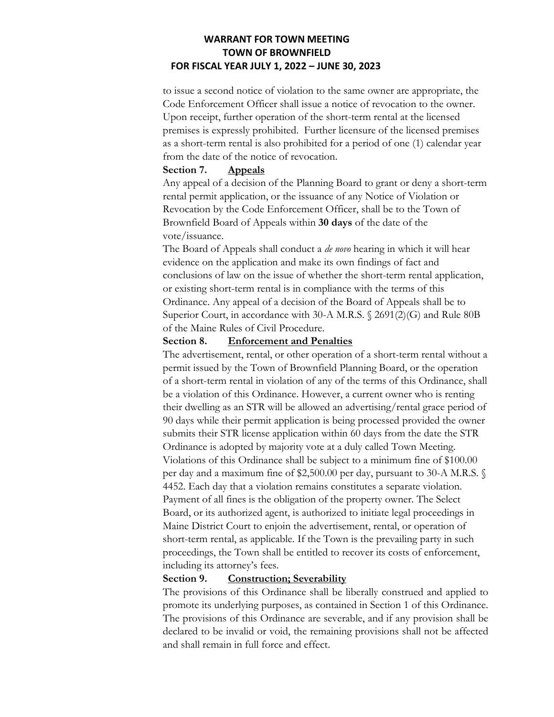to issue a second notice of violation to the same owner are appropriate, the Code Enforcement Officer shall issue a notice of revocation to the owner. Upon receipt, further operation of the short-term rental at the licensed premises is expressly prohibited. Further licensure of the licensed premises as a short-term rental is also prohibited for a period of one (1) calendar year from the date of the notice of revocation.

#### **Section 7. Appeals**

Any appeal of a decision of the Planning Board to grant or deny a short-term rental permit application, or the issuance of any Notice of Violation or Revocation by the Code Enforcement Officer, shall be to the Town of Brownfield Board of Appeals within **30 days** of the date of the vote/issuance.

The Board of Appeals shall conduct a *de novo* hearing in which it will hear evidence on the application and make its own findings of fact and conclusions of law on the issue of whether the short-term rental application, or existing short-term rental is in compliance with the terms of this Ordinance. Any appeal of a decision of the Board of Appeals shall be to Superior Court, in accordance with 30-A M.R.S. § 2691(2)(G) and Rule 80B of the Maine Rules of Civil Procedure.

#### **Section 8. Enforcement and Penalties**

The advertisement, rental, or other operation of a short-term rental without a permit issued by the Town of Brownfield Planning Board, or the operation of a short-term rental in violation of any of the terms of this Ordinance, shall be a violation of this Ordinance. However, a current owner who is renting their dwelling as an STR will be allowed an advertising/rental grace period of 90 days while their permit application is being processed provided the owner submits their STR license application within 60 days from the date the STR Ordinance is adopted by majority vote at a duly called Town Meeting. Violations of this Ordinance shall be subject to a minimum fine of \$100.00 per day and a maximum fine of \$2,500.00 per day, pursuant to 30-A M.R.S. § 4452. Each day that a violation remains constitutes a separate violation. Payment of all fines is the obligation of the property owner. The Select Board, or its authorized agent, is authorized to initiate legal proceedings in Maine District Court to enjoin the advertisement, rental, or operation of short-term rental, as applicable. If the Town is the prevailing party in such proceedings, the Town shall be entitled to recover its costs of enforcement, including its attorney's fees.

#### **Section 9. Construction; Severability**

The provisions of this Ordinance shall be liberally construed and applied to promote its underlying purposes, as contained in Section 1 of this Ordinance. The provisions of this Ordinance are severable, and if any provision shall be declared to be invalid or void, the remaining provisions shall not be affected and shall remain in full force and effect.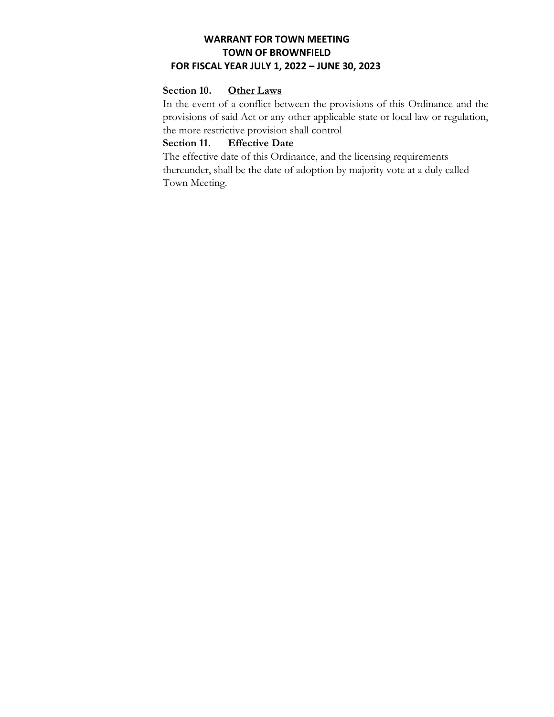#### **Section 10. Other Laws**

In the event of a conflict between the provisions of this Ordinance and the provisions of said Act or any other applicable state or local law or regulation, the more restrictive provision shall control

# **Section 11. Effective Date**

The effective date of this Ordinance, and the licensing requirements thereunder, shall be the date of adoption by majority vote at a duly called Town Meeting.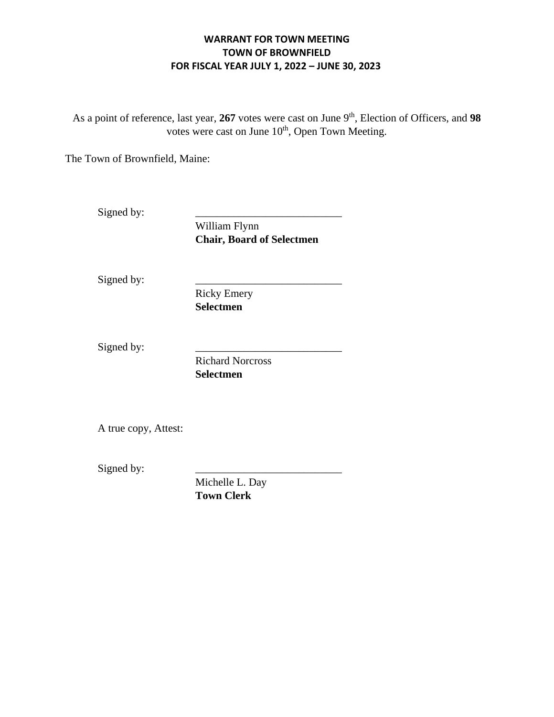As a point of reference, last year, 267 votes were cast on June 9<sup>th</sup>, Election of Officers, and 98 votes were cast on June  $10<sup>th</sup>$ , Open Town Meeting.

The Town of Brownfield, Maine:

Signed by:

William Flynn **Chair, Board of Selectmen** 

Signed by:

Ricky Emery **Selectmen** 

Signed by:

Richard Norcross **Selectmen** 

A true copy, Attest:

Signed by:

Michelle L. Day **Town Clerk**